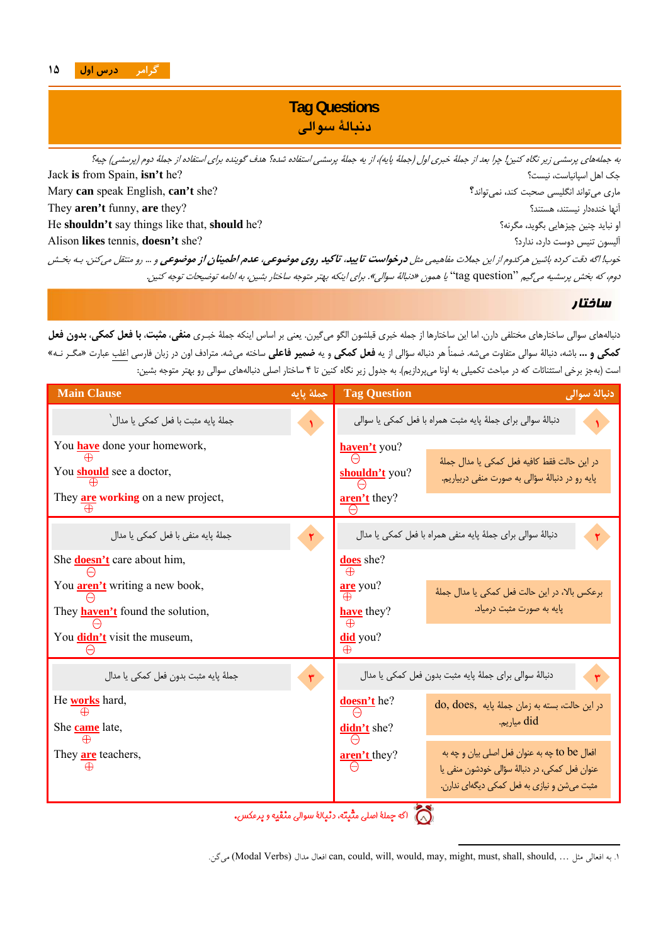

## **Tag Questions دنبالة سوالي**

به جملههاي پرسشي زير نگاه كنين! چرا بعد از جملة خبري اول (جملة پايه)، از يه جملة پرسشي استفاده شده؟ هدف گوينده براي استفاده از جملة دوم (پرسشي) چيه؟ Jack **is** from Spain, **isn't** he? نيست؟ ،اسپانياست اهل جك Mary **can** speak English, **can't** she? نميتواند؟ ،كند صحبت انگليسي ميتواند ماري They **aren't** funny, **are** they? هستند؟ ،نيستند خندهدار آنها He **shouldn't** say things like that, **should** he? مگرنه؟ ،بگويد چيزهايي چنين نبايد او Alison **likes** tennis, **doesn't** she? ندارد؟ ،دارد دوست تنيس آليسون خوب! اگه دقت كرده باشين هركدوم از اين جملات مفاهيمي مثل **درخواست تاييد**، **تاكيد روي موضوعي**، **عدم اطمينان از موضوعي** <sup>و</sup> ... رو منتقل ميكنن. بـه بخـش دوم، كه بخش پرسشيه ميگيم "question tag "يا همون «دنبالة سوالي». براي اينكه بهتر متوجه ساختار بشين، به ادامه توضيحات توجه كنين.

### ساختار

i

l

دنبالههاي سوالي ساختارهاي مختلفي دارن. اما اين ساختارها از جمله خبري قبلشون الگو ميگيرن. يعني بر اساس اينكه جملة خبـري **منفي**، **مثبت**، **با فعل كمكي**، **بدون فعل** كمكي و … باشه، دنبالهٔ سوالي متفاوت ميشه. ضمناً هر دنباله سؤالي از يه **فعل كمكي** و يه **ضمير فاعلي** ساخته ميشه. مترادف اون در زبان فارسي اغلب عبارت «مگـر نـه» است (بهجز برخي استثنائات كه در مباحث تكميلي به اونا ميپردازيم). به جدول زير نگاه كنين تا <sup>4</sup> ساختار اصلي دنبالههاي سوالي رو بهتر متوجه بشين:

| <b>Main Clause</b>                                           | جملهٔ یایه | <b>Tag Question</b> | دنبالة سوالي                                                                                     |
|--------------------------------------------------------------|------------|---------------------|--------------------------------------------------------------------------------------------------|
| جملهٔ پایه مثبت با فعل کمک <sub>ی</sub> یا مدال <sup>۱</sup> |            |                     | دنبالهٔ سوالی برای جملهٔ پایه مثبت همراه با فعل کمکی یا سوالی                                    |
| You <b>have</b> done your homework,                          |            | haven't you?        |                                                                                                  |
| You <b>should</b> see a doctor,                              |            | shouldn't you?      | در این حالت فقط کافیه فعل کمکی یا مدال جملهٔ<br>پایه رو در دنبالهٔ سؤالی به صورت منفی دربیاریم.  |
| They <b>are working</b> on a new project,                    |            | aren't they?        |                                                                                                  |
| جملهٔ پایه منفی با فعل کمکی یا مدال                          | ۳          |                     | دنبالهٔ سوالی برای جملهٔ پایه منفی همراه با فعل کمکی یا مدال                                     |
| She <b>doesn't</b> care about him,                           |            | does she?           |                                                                                                  |
| You <b>aren't</b> writing a new book,                        |            | are you?            | برعكس بالا، در اين حالت فعل كمكي يا مدال جملهٔ                                                   |
| They <b>haven't</b> found the solution,                      |            | <b>have</b> they?   | پایه به صورت مثبت درمیاد.                                                                        |
| You <b>didn't</b> visit the museum,                          |            | did you?            |                                                                                                  |
| جملةً پايه مثبت بدون فعل كمكي يا مدال                        |            |                     | دنبالهٔ سوالی برای جملهٔ پایه مثبت بدون فعل کمکی یا مدال                                         |
| He <b>works</b> hard,                                        |            | <b>doesn't</b> he?  | در این حالت، بسته به زمان جملهٔ پایه do, does,                                                   |
| She <b>came</b> late,                                        |            | didn't she?         | did میاریم.                                                                                      |
| They <b>are</b> teachers,                                    |            | aren't they?        | افعال to be چه به عنوان فعل اصلي بيان و چه به<br>عنوان فعل کمکی، در دنبالهٔ سؤالی خودشون منفی یا |
|                                                              |            |                     | مثبت می شن و نیازی به فعل کمکی دیگهای ندارن.                                                     |
|                                                              |            | $-8$                |                                                                                                  |

اگه جملة اصلي مثبته، دنبالة سوالي منفيه <sup>و</sup> برعكس.

.ميگن) Modal Verbs) مدال افعال can, could, will, would, may, might, must, shall, should, … مثل افعالي به .1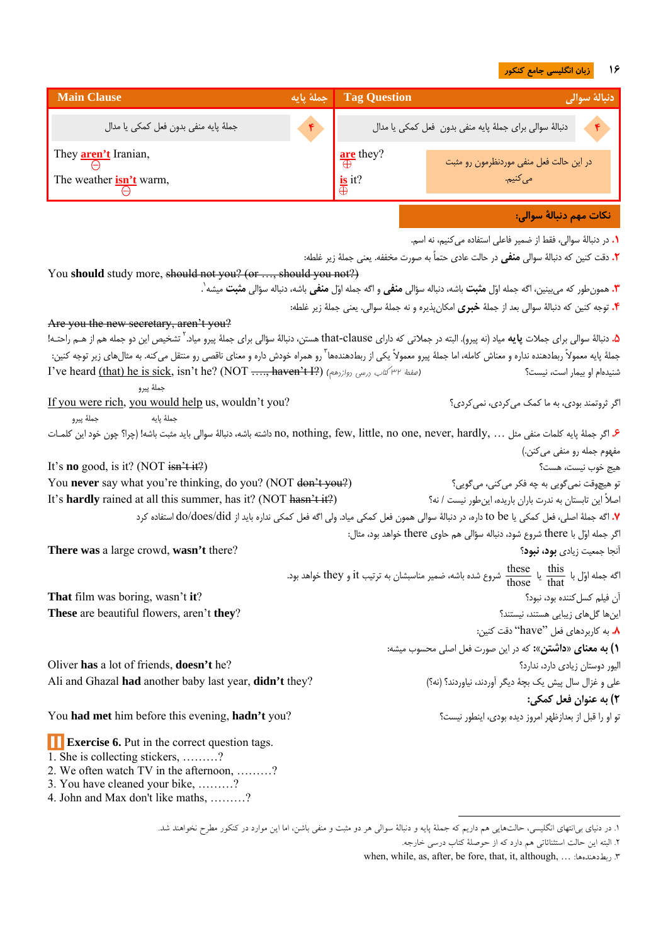#### **16 زبان انگليسي جامع كنكور**

| <b>Main Clause</b>                                                                                                                                                                              | جملهٔ پایه | <b>Tag Question</b>                  | دنبالة سوالي                                                                                                                                                                                                                                                                |
|-------------------------------------------------------------------------------------------------------------------------------------------------------------------------------------------------|------------|--------------------------------------|-----------------------------------------------------------------------------------------------------------------------------------------------------------------------------------------------------------------------------------------------------------------------------|
| جملة پايه منفى بدون فعل كمكى يا مدال                                                                                                                                                            |            |                                      | دنبالة سوالي براي جملة پايه منفي بدون فعل كمكي يا مدال                                                                                                                                                                                                                      |
| They <b>aren't</b> Iranian,                                                                                                                                                                     |            | $\frac{\text{are}}{\bigoplus}$ they? | در این حالت فعل منفی موردنظرمون رو مثبت                                                                                                                                                                                                                                     |
| The weather <b>isn't</b> warm,                                                                                                                                                                  |            | $\frac{is}{\oplus}$ it?              | می کنیم.                                                                                                                                                                                                                                                                    |
|                                                                                                                                                                                                 |            |                                      | نكات مهم دنبالهٔ سوالی:                                                                                                                                                                                                                                                     |
|                                                                                                                                                                                                 |            |                                      | ۰. در دنبالهٔ سوالی، فقط از ضمیر فاعلی استفاده می کنیم، نه اسم.                                                                                                                                                                                                             |
|                                                                                                                                                                                                 |            |                                      | <b>٢.</b> دقت كنين كه دنبالهٔ سوالي <b>منفي</b> در حالت عادي حتماً به صورت مخففه. يعني جملهٔ زير غلطه:                                                                                                                                                                      |
| You should study more, should not you? (or , should you not?)                                                                                                                                   |            |                                      |                                                                                                                                                                                                                                                                             |
|                                                                                                                                                                                                 |            |                                      | <b>۳.</b> همونطور که میینین، اگه جمله اوّل <b>مثبت</b> باشه، دنباله سؤالی <b>منفی</b> و اگه جمله اوّل <b>منفی</b> باشه، دنباله سؤالی <b>مثبت</b> میشه`.<br><b>۴.</b> توجه کنین که دنبالهٔ سوالی بعد از جملهٔ <b>خبری</b> امکانِپذیره و نه جملهٔ سوالی. یعنی جملهٔ زیر غلطه: |
| Are you the new secretary, aren't you?                                                                                                                                                          |            |                                      |                                                                                                                                                                                                                                                                             |
| <b>۵.</b> دنبالهٔ سوالی برای جملات <b>پایه</b> میاد (نه پیرو). البته در جملاتی که دارای عhat-clause هستن، دنبالهٔ سؤالی برای جملهٔ پیرو میاد. <sup>۲</sup> تشخیص این دو جمله هم از هــم راحتـه! |            |                                      |                                                                                                                                                                                                                                                                             |
| جملهٔ پایه معمولاً ربطدهنده نداره و معناش کامله، اما جملهٔ پیرو معمولاً یکی از ربطدهندهها ّ رو همنای ناقوی و و منتقل می کنه. به مثال های زیر توجه کنین:                                         |            |                                      |                                                                                                                                                                                                                                                                             |
| I've heard (that) he is sick, isn't he? (NOT , haven't I?) (الصفعة ٣٢ $\omega$ /٣٢ (العفعة ١٣٧ $\omega$<br>جملهٔ ییرو                                                                           |            |                                      | شنیدهام او بیمار است، نیست؟                                                                                                                                                                                                                                                 |
| If you were rich, you would help us, wouldn't you?<br>جملهٔ پیرو<br>جملهٔ پایه                                                                                                                  |            |                                      | اگر ثروتمند بودي، به ما كمک ميكردي، نمي كردي؟                                                                                                                                                                                                                               |
| ع. اگر جملهٔ پایه کلمات منفی مثل  , nothing, few, little, no one, never, hardly داشته باشه، دنبالهٔ سوالی باید مثبت باشه! (چرا؟ چون خود این کلمـات                                              |            |                                      |                                                                                                                                                                                                                                                                             |
|                                                                                                                                                                                                 |            |                                      | مفهوم جمله رو منفي مي كنن.)                                                                                                                                                                                                                                                 |
| It's <b>no</b> good, is it? (NOT $\frac{\sin^2 t}{t^2}$ )                                                                                                                                       |            |                                      | هيج خوب نيست، هست؟                                                                                                                                                                                                                                                          |
| You never say what you're thinking, do you? (NOT don't you?)                                                                                                                                    |            |                                      | تو هیچوقت نمی گویی به چه فکر می کنی، می گویی؟                                                                                                                                                                                                                               |
| It's hardly rained at all this summer, has it? (NOT hasn't it?)                                                                                                                                 |            |                                      | اصلاً این تابستان به ندرت باران باریده، اینطور نیست / نه؟                                                                                                                                                                                                                   |
|                                                                                                                                                                                                 |            |                                      | V. اگه جملهٔ اصلی، فعل کمکی یا to be داره، در دنبالهٔ سوالی همون فعل کمکی میاد. ولی اگه فعل کمکی نداره باید از do/does/did استفاده کرد                                                                                                                                      |
|                                                                                                                                                                                                 |            |                                      | اگر جمله اوّل با there شروع شود، دنباله سؤالي هم حاوي there خواهد بود، مثال:                                                                                                                                                                                                |
| There was a large crowd, wasn't there?                                                                                                                                                          |            |                                      | آنجا جمعیت زیادی <b>بود، نبود</b> ؟                                                                                                                                                                                                                                         |
|                                                                                                                                                                                                 |            |                                      | اگه جمله اوّل با $\frac{\text{this}}{\text{thos}}$ یا $\frac{\text{these}}{\text{thos}}$ شروع شده باشه، ضمیر مناسبشان به ترتیب it و they خواهد بود.                                                                                                                         |
| That film was boring, wasn't it?                                                                                                                                                                |            |                                      | آن فيلم كسل كننده بود، نبود؟                                                                                                                                                                                                                                                |
| These are beautiful flowers, aren't they?                                                                                                                                                       |            |                                      | اینها گلهای زیبایی هستند، نیستند؟                                                                                                                                                                                                                                           |
|                                                                                                                                                                                                 |            |                                      | ٨. به كاربردهاى فعل "have" دقت كنين:                                                                                                                                                                                                                                        |
|                                                                                                                                                                                                 |            |                                      | ١) به معناى «داشتن»: كه در اين صورت فعل اصلى محسوب ميشه:                                                                                                                                                                                                                    |
| Oliver has a lot of friends, doesn't he?                                                                                                                                                        |            |                                      | اليور دوستان زيادى دارد، ندارد؟                                                                                                                                                                                                                                             |
| Ali and Ghazal had another baby last year, didn't they?                                                                                                                                         |            |                                      | علی و غزال سال پیش یک بچهٔ دیگر آوردند، نیاوردند؟ (نه؟)                                                                                                                                                                                                                     |
|                                                                                                                                                                                                 |            |                                      | ٢) به عنوان فعل کمکي:                                                                                                                                                                                                                                                       |
| You had met him before this evening, hadn't you?                                                                                                                                                |            |                                      | تو او را قبل از بعدازظهر امروز دیده بودی، اینطور نیست؟                                                                                                                                                                                                                      |
| <b>Exercise 6.</b> Put in the correct question tags.                                                                                                                                            |            |                                      |                                                                                                                                                                                                                                                                             |
| 1. She is collecting stickers, ?<br>2. We often watch TV in the afternoon, ?                                                                                                                    |            |                                      |                                                                                                                                                                                                                                                                             |
| 3. You have cleaned your bike, ?                                                                                                                                                                |            |                                      |                                                                                                                                                                                                                                                                             |

4. John and Max don't like maths, ………?

<sup>.1</sup> در دنياي بيانتهاي انگليسي، حالتهايي هم داريم كه جملة پايه <sup>و</sup> دنبالة سوالي هر دو مثبت <sup>و</sup> منفي باشن، اما اين موارد در كنكور مطرح نخواهند شد.

<sup>.2</sup> البته اين حالت استثنائاتي هم دارد كه از حوصلة كتاب درسي خارجه.

when, while, as, after, be fore, that, it, although, … :ربطدهندهها .3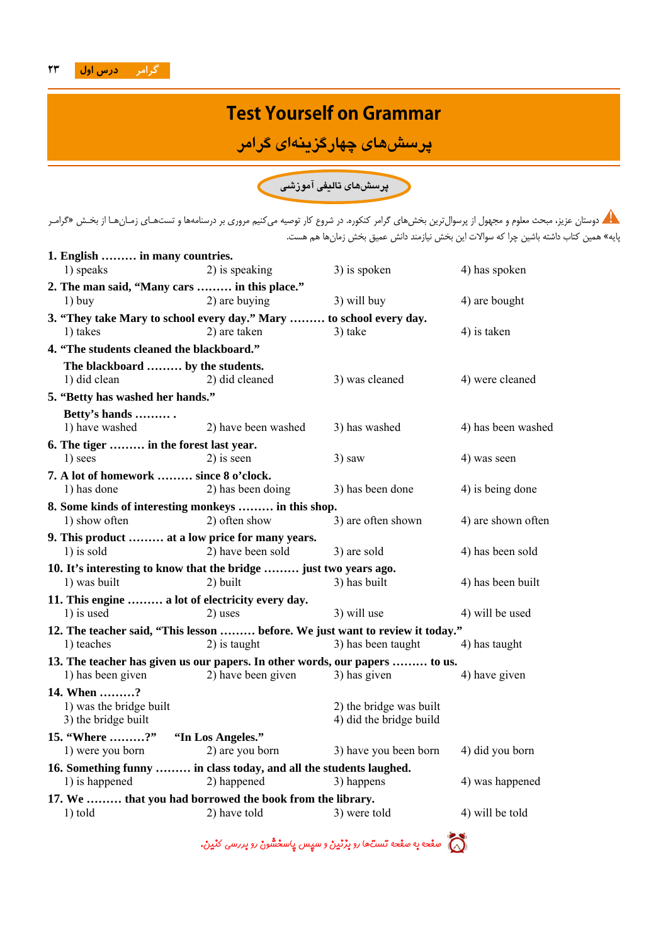# **Test Yourself on Grammar**

**پرسشهاي چهارگزينهاي گرامر**

**پرسشهاي تاليفي آموزشي**

دوستان عزيز، مبحث معلوم و مجهول از پرسوالترين بخشهاي گرامر كنكوره. در شروع كار توصيه ميكنيم مروري بر درسنامهها و تستهـاي زمـانهـا از بخـش «گرامـر پايه» همين كتاب داشته باشين چرا كه سوالات اين بخش نيازمند دانش عميق بخش زمانها هم هست.

| 1. English  in many countries.                                                |                     |                                                    |                    |
|-------------------------------------------------------------------------------|---------------------|----------------------------------------------------|--------------------|
| 1) speaks                                                                     | 2) is speaking      | 3) is spoken                                       | 4) has spoken      |
| 2. The man said, "Many cars  in this place."                                  |                     |                                                    |                    |
| $1)$ buy                                                                      | 2) are buying       | 3) will buy                                        | 4) are bought      |
| 3. "They take Mary to school every day." Mary  to school every day.           |                     |                                                    |                    |
| 1) takes                                                                      | 2) are taken        | 3) take                                            | 4) is taken        |
| 4. "The students cleaned the blackboard."                                     |                     |                                                    |                    |
| The blackboard  by the students.<br>1) did clean                              | 2) did cleaned      | 3) was cleaned                                     | 4) were cleaned    |
| 5. "Betty has washed her hands."                                              |                     |                                                    |                    |
| Betty's hands                                                                 |                     |                                                    |                    |
| 1) have washed                                                                | 2) have been washed | 3) has washed                                      | 4) has been washed |
| 6. The tiger  in the forest last year.                                        |                     |                                                    |                    |
| 1) sees                                                                       | $2$ ) is seen       | $3)$ saw                                           | 4) was seen        |
| 7. A lot of homework  since 8 o'clock.                                        |                     |                                                    |                    |
| 1) has done                                                                   | 2) has been doing   | 3) has been done                                   | 4) is being done   |
| 8. Some kinds of interesting monkeys  in this shop.                           |                     |                                                    |                    |
| 1) show often                                                                 | 2) often show       | 3) are often shown                                 | 4) are shown often |
| 9. This product  at a low price for many years.                               |                     |                                                    |                    |
| $1)$ is sold                                                                  | 2) have been sold   | 3) are sold                                        | 4) has been sold   |
| 10. It's interesting to know that the bridge  just two years ago.             |                     |                                                    |                    |
| 1) was built                                                                  | 2) built            | 3) has built                                       | 4) has been built  |
| 11. This engine  a lot of electricity every day.                              |                     |                                                    |                    |
| 1) is used                                                                    | 2) uses             | 3) will use                                        | 4) will be used    |
| 12. The teacher said, "This lesson  before. We just want to review it today." |                     |                                                    |                    |
| 1) teaches                                                                    | 2) is taught        | 3) has been taught                                 | 4) has taught      |
| 13. The teacher has given us our papers. In other words, our papers  to us.   |                     |                                                    |                    |
| 1) has been given                                                             | 2) have been given  | 3) has given                                       | 4) have given      |
| 14. When ?                                                                    |                     |                                                    |                    |
| 1) was the bridge built<br>3) the bridge built                                |                     | 2) the bridge was built<br>4) did the bridge build |                    |
| 15. "Where ?" "In Los Angeles."                                               |                     |                                                    |                    |
| 1) were you born                                                              | 2) are you born     | 3) have you been born                              | 4) did you born    |
| 16. Something funny  in class today, and all the students laughed.            |                     |                                                    |                    |
| 1) is happened                                                                | 2) happened         | 3) happens                                         | 4) was happened    |
| 17. We  that you had borrowed the book from the library.                      |                     |                                                    |                    |
| $1)$ told                                                                     | 2) have told        | 3) were told                                       | 4) will be told    |

صفحه به صفحه تستها رو بزنين <sup>و</sup> سپسپاسخشون رو بررسي كنين.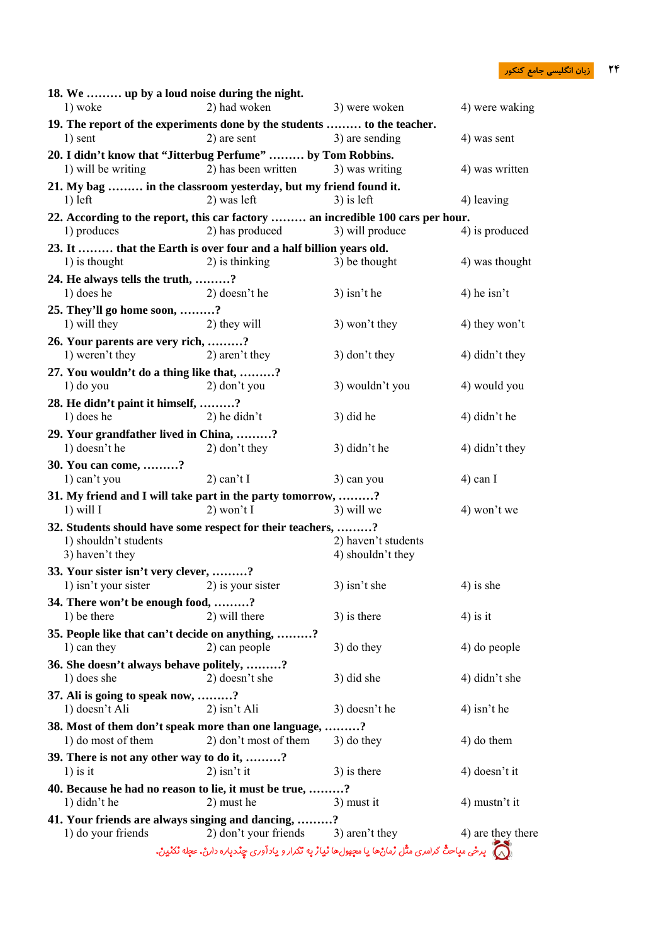| 18. We  up by a loud noise during the night.                                                   |                                      |                                                                                                        |                   |
|------------------------------------------------------------------------------------------------|--------------------------------------|--------------------------------------------------------------------------------------------------------|-------------------|
| 1) woke                                                                                        | 2) had woken                         | 3) were woken                                                                                          | 4) were waking    |
| 19. The report of the experiments done by the students  to the teacher.<br>1) sent             | 2) are sent                          | 3) are sending                                                                                         | 4) was sent       |
| 20. I didn't know that "Jitterbug Perfume"  by Tom Robbins.                                    |                                      |                                                                                                        |                   |
| 1) will be writing                                                                             | 2) has been written                  | 3) was writing                                                                                         | 4) was written    |
| 21. My bag  in the classroom yesterday, but my friend found it.                                |                                      |                                                                                                        |                   |
| $1)$ left                                                                                      | 2) was left                          | $3)$ is left                                                                                           | 4) leaving        |
| 22. According to the report, this car factory  an incredible 100 cars per hour.<br>1) produces | 2) has produced                      | 3) will produce                                                                                        | 4) is produced    |
| 23. It  that the Earth is over four and a half billion years old.<br>1) is thought             | 2) is thinking                       | 3) be thought                                                                                          | 4) was thought    |
| 24. He always tells the truth, ?                                                               |                                      |                                                                                                        |                   |
| 1) does he                                                                                     | 2) doesn't he                        | $3$ ) isn't he                                                                                         | 4) he isn't       |
| 25. They'll go home soon, ?                                                                    |                                      |                                                                                                        |                   |
| 1) will they                                                                                   | 2) they will                         | 3) won't they                                                                                          | 4) they won't     |
| 26. Your parents are very rich, ?<br>1) weren't they                                           | 2) aren't they                       | $3)$ don't they                                                                                        | 4) didn't they    |
| 27. You wouldn't do a thing like that, ?                                                       |                                      |                                                                                                        |                   |
| $1)$ do you                                                                                    | 2) don't you                         | 3) wouldn't you                                                                                        | 4) would you      |
| 28. He didn't paint it himself, ?                                                              |                                      |                                                                                                        |                   |
| 1) does he                                                                                     | $2)$ he didn't                       | 3) did he                                                                                              | 4) didn't he      |
| 29. Your grandfather lived in China, ?                                                         |                                      |                                                                                                        |                   |
| 1) doesn't he                                                                                  | 2) don't they                        | 3) didn't he                                                                                           | 4) didn't they    |
| 30. You can come, ?                                                                            |                                      |                                                                                                        |                   |
| 1) can't you                                                                                   | $2)$ can't I                         | 3) can you                                                                                             | $4)$ can I        |
| 31. My friend and I will take part in the party tomorrow, ?<br>$1)$ will I                     | $2)$ won't I                         | 3) will we                                                                                             | 4) won't we       |
| 32. Students should have some respect for their teachers, ?                                    |                                      |                                                                                                        |                   |
| 1) shouldn't students                                                                          |                                      | 2) haven't students                                                                                    |                   |
| 3) haven't they                                                                                |                                      | 4) shouldn't they                                                                                      |                   |
| 33. Your sister isn't very clever, ?                                                           |                                      |                                                                                                        |                   |
| 1) isn't your sister                                                                           | 2) is your sister                    | $3$ ) isn't she                                                                                        | $4$ ) is she      |
| 34. There won't be enough food, ?<br>1) be there                                               | 2) will there                        | 3) is there                                                                                            | $4$ ) is it       |
| 35. People like that can't decide on anything, ?                                               |                                      |                                                                                                        |                   |
| 1) can they                                                                                    | 2) can people                        | $3)$ do they                                                                                           | 4) do people      |
| 36. She doesn't always behave politely, ?                                                      |                                      |                                                                                                        |                   |
| 1) does she                                                                                    | 2) doesn't she                       | 3) did she                                                                                             | 4) didn't she     |
| 37. Ali is going to speak now, ?                                                               |                                      |                                                                                                        |                   |
| 1) doesn't Ali                                                                                 | $2)$ isn't Ali                       | 3) doesn't he                                                                                          | 4) isn't he       |
| 38. Most of them don't speak more than one language, ?                                         |                                      |                                                                                                        |                   |
| 1) do most of them                                                                             | 2) don't most of them                | 3) do they                                                                                             | 4) do them        |
| 39. There is not any other way to do it, ?<br>$1)$ is it                                       | $2)$ isn't it                        | 3) is there                                                                                            | 4) doesn't it     |
| 40. Because he had no reason to lie, it must be true, ?                                        |                                      |                                                                                                        |                   |
| 1) didn't he                                                                                   | 2) must he                           | 3) must it                                                                                             | 4) mustn't it     |
| 41. Your friends are always singing and dancing, ?                                             |                                      |                                                                                                        |                   |
| 1) do your friends                                                                             | 2) don't your friends 3) aren't they |                                                                                                        | 4) are they there |
|                                                                                                |                                      | (م) برځی مباحثٌ گرامری مثّل زمانْها یا معهولها نیارْ به تکرار و یادآوری چنددباره دارنْ، عجله نْکنْینْ. |                   |
|                                                                                                |                                      |                                                                                                        |                   |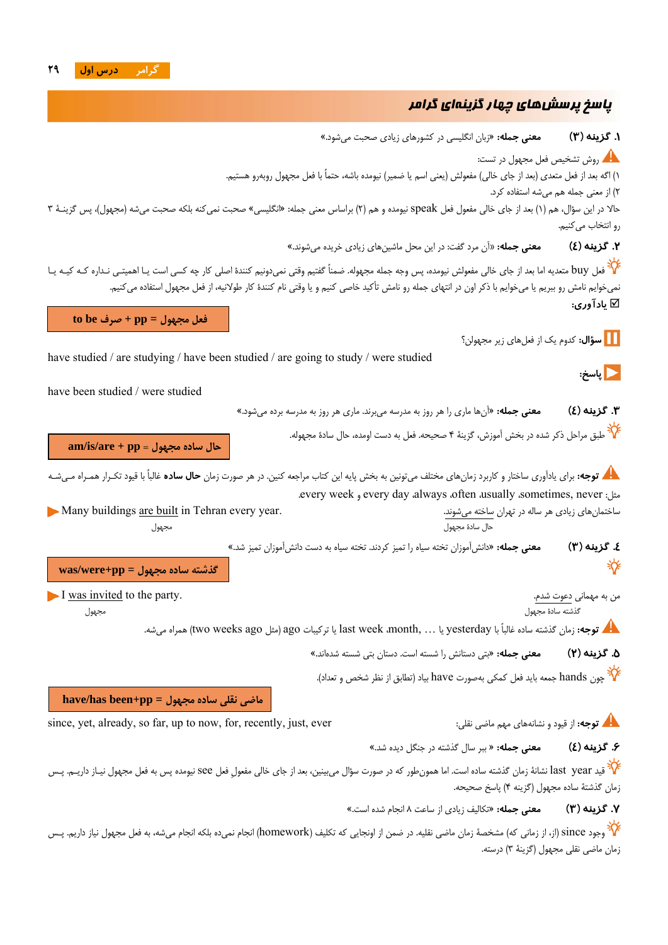## پاسخ پرسشهاي چهارگزينهاي گرامر

**.1 گزينه (3) معني جمله:** «زبان انگليسى در كشورهاي زيادي صحبت مىشود.» روش تشخيص فعل مجهول در تست: 1) اگه بعد از فعل متعدي (بعد از جاي خالي) مفعولش (يعني اسم يا ضمير) نيومده باشه، حتماً با فعل مجهول روبهرو هستيم. 2) از معني جمله هم ميشه استفاده كرد. حالا در اين سؤال، هم (1) بعد از جاي خالي مفعول فعل speak نيومده و هم (2) براساس معني جمله: «انگليسى» صحبت نمىكنه بلكه صحبت مىشه (مجهول)، پس گزينـة 3 رو انتخاب مىكنيم. **.2 گزينه (4) معني جمله: «**آن مرد گفت: در اين محل ماشينهاى زيادى خريده مىشوند.» ے<br>کافعل buy متعديه اما بعد از جاي خالي مفعولش نيومده، پس وجه جمله مجهوله. ضمناً گفتيم وقتي نمي<code>دونيم كنندۂ اصلي كار چه كسي است يـا اهميتـي نـداره كـه كيـه يـا</mark></code> نميخوايم نامش رو ببريم يا ميخوايم با ذكر اون در انتهاي جمله رو نامش تأكيد خاصي كنيم و يا وقتي نام كنندة كار طولانيه، از فعل مجهول استفاده ميكنيم. **يادآورى: فعل مجهول = pp + صرف be to . [1] سؤال:** كدوم يك از فعلهاى زير مجهولن؟ have studied / are studying / have been studied / are going to study / were studied **پاسخ:**  have been studied / were studied **.3 گزينه (4) معني جمله:** «آنها ماري را هر روز به مدرسه ميبرند. مارى هر روز به مدرسه برده مىشود.» مي.<br>محل است مراحل ذكر شده در بخش آموزش، گزينهٔ ۴ صحيحه. فعل به دست اومده، حال سادهٔ مجهوله. **am/is/are + pp = مجهول ساده حال توجه:** براي يادآوري ساختار و كاربرد زمانهاي مختلف ميتونين به بخش پايه اين كتاب مراجعه كنين. در هر صورت زمان **حال ساده** غالباً با قيود تكـرار همـراه مـيشـه .every week و every day ،always ،often ،usually ،sometimes, never :مثل ساختمانهاى زيادى هر ساله در تهران ساخته مىشوند. .year every Tehran in built are buildings Many حال سادة مجهول مجهول **.4 گزينه (3) معني جمله:** «دانشآموزان تخته سياه را تميز كردند. تخته سياه به دست دانشآموزان تميز شد.» ₩ **گذشته ساده مجهول = pp+were/was**I was invited to the party. .شدم دعوت مهمانى به من گذشته سادة مجهول مجهول **توجه:** زمان گذشته ساده غالباً با yesterday يا ... ,month، week last يا تركيبات ago) مثل ago weeks two (همراه ميشه. **.5 گزينه (2) معني جمله:** «بتى دستانش را شسته است. دستان بتى شسته شدهاند.» چون hands جمعه بايد فعل كمكى بهصورت have بياد (تطابق از نظر شخص و تعداد). **ماضى نقلى ساده مجهول = pp+been has/have** since, yet, already, so far, up to now, for, recently, just, ever :نقلي ماضي مهم نشانههاي و قيود از **:توجه .6 گزينه (4) معني جمله:** « ببر سال گذشته در جنگل ديده شد.» ید last year نشانة زمان گذشته ساده است. اما همونطور كه در صورت سؤال مىبينين، بعد از جاي خالي مفعولِ فعل see نيومده پس به فعل مجهول نيـاز داريـم. پـس زمان گذشتة ساده مجهول (گزينه 4) پاسخ صحيحه. **.7 گزينه (3) معني جمله:** «تكاليف زيادى از ساعت 8 انجام شده است.» مي.<br>\* وجود since (از، از زمانى كه) مشخصة زمان ماضى نقليه. در ضمن از اونجايى كه تكليف (homework) انجام نمىده انجام مىشه، به فعل مجهول نياز داريم. پـس زمان ماضى نقلى مجهول (گزينة 3) درسته.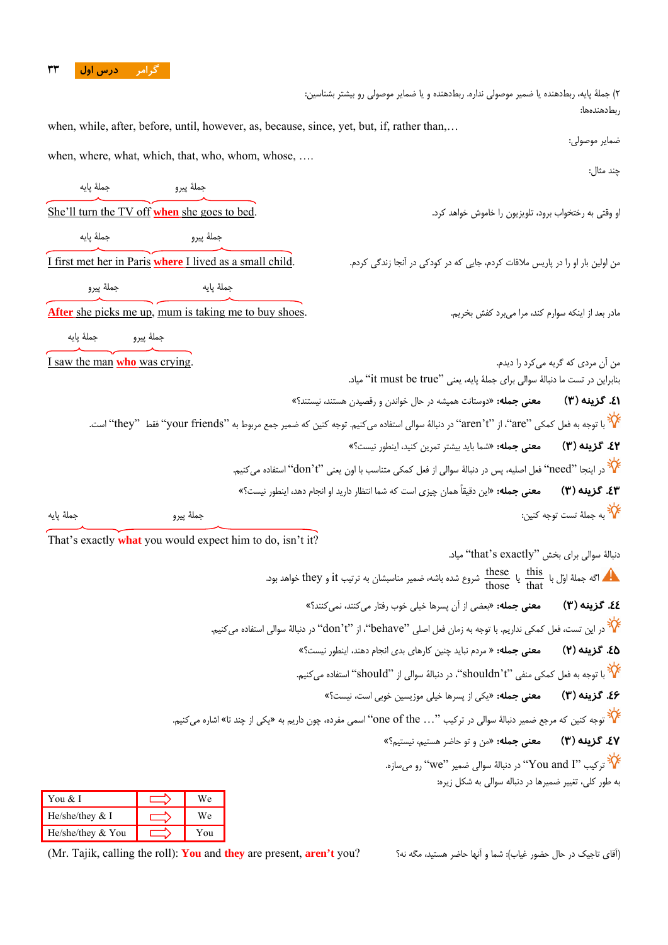#### **گرامر درس اول 33**

2) جملة پايه، ربطدهنده يا ضمير موصولي نداره. ربطدهنده و يا ضماير موصولي رو بيشتر بشناسين: ربطدهندهها: when, while, after, before, until, however, as, because, since, yet, but, if, rather than,… ضماير موصولي: when, where, what, which, that, who, whom, whose, .... چند مثال: جملة پيرو بين الجملة پايه جملة پيرو بين الجملة بيرو بين الجملة پايه به جملة پايه به الجملة بايه به الجملة بايه<br>م She'll turn the TV off **when** she goes to bed. .كرد خواهد خاموش را تلويزيون ،برود رختخواب به وقتي او جملة پيرو جملة پيرو جملة پيرو جملة پيرو جملة پيرو جملة پيرو جملة پايه جملة پايه به انتخاب به انتخاب به انتخاب <br>جم من اولين بار او را در پاريس ملاقات كردم، جايي كه در كودكي در آنجا زندگي كردم. .<br>من اولين بار او را در پاريس ملاقات كردم، جايي كه در كودكي در آنجا زندگي كردم. جملة پايه جملة پايه جملة پايه جملة پايه جملة پايه جملة پيرو $\lambda$ مادر بعد از اينكه سوارم كند، مرا م<sub>م ا</sub>برد كفش بخريم. .<br>مادر بعد از اينكه سوارم كند، مرا م<sub>م ا</sub>برد كفش بخريم. جملة پيرو جملة پايه من آن مردي كه گريه ميكرد را ديدم. .crying was **who** man the saw I بنابراين در تست ما دنبالة سوالي براي جملة پايه، يعني "true be must it "مياد. **.41 گزينه (3) معني جمله:** «دوستانت هميشه در حال خواندن و رقصيدن هستند، نيستند؟» با توجه به فعل كمكي "are"، از "t'aren "در دنبالة سوالي استفاده ميكنيم. توجه كنين كه ضمير جمع مربوط به "friends your "فقط "they "است. **.42 گزينه (3) معني جمله:** «شما بايد بيشتر تمرين كنيد، اينطور نيست؟» در اينجا "need" فعل اصليه، پس در دنبالهٔ سوالي از فعل كمكي متناسب با اون يعني "don't" استفاده ميكنيم. **.43 گزينه (3) معني جمله:** «اين دقيقاً همان چيزي است كه شما انتظار داريد او انجام دهد، اينطور نيست؟» به جملة تست توجه كنين: جملة پيرو جملة پايه That's exactly **what** you would expect him to do, isn't it? دنبالة سوالي براي بخش "exactly s'that "مياد. گه جملهٔ اوّل با  $\frac{\text{these}}{\text{those}}$  یا  $\frac{\text{these}}{\text{those}}$  شروع شده باشه، ضمیر مناسبشان به ترتیب it و they خواهد بود. **.44 گزينه (3) معني جمله:** «بعضي از آن پسرها خيلي خوب رفتار ميكنند، نميكنند؟» در اين تست، فعل كمكي نداريم. با توجه به زمان فعل اصلي "behave"، از "t'don "در دنبالة سوالي استفاده ميكنيم. **.45 گزينه (2) معني جمله:** « مردم نبايد چنين كارهاي بدي انجام دهند، اينطور نيست؟» با توجه به فعل كمكي منفي "t'shouldn"، در دنبالة سوالي از "should "استفاده ميكنيم. **.46 گزينه (3) معني جمله:** «يكي از پسرها خيلي موزيسين خوبي است، نيست؟» توجه كنين كه مرجع ضمير دنبالة سوالي در تركيب "... the of one "اسمي مفرده، چون داريم به «يكي از چند تا» اشاره ميكنيم. **.47 گزينه (3) معني جمله:** «من و تو حاضر هستيم، نيستيم؟» تركيب "I and You "در دنبالة سوالي ضمير "we "رو ميسازه. به طور كلي، تغيير ضميرها در دنباله سوالي به شكل زيره: You & I  $\qquad \qquad$  We

| You & I             |       |
|---------------------|-------|
| He/she/they $&$ I   | We    |
| He/she/they $& You$ | Y 011 |

(آقاي تاجيك در حال حضور غياب): شما و آنها حاضر هستيد، مگه نه؟ ?you **t'aren** ,present are **they** and **You** :)roll the calling ,Tajik .Mr(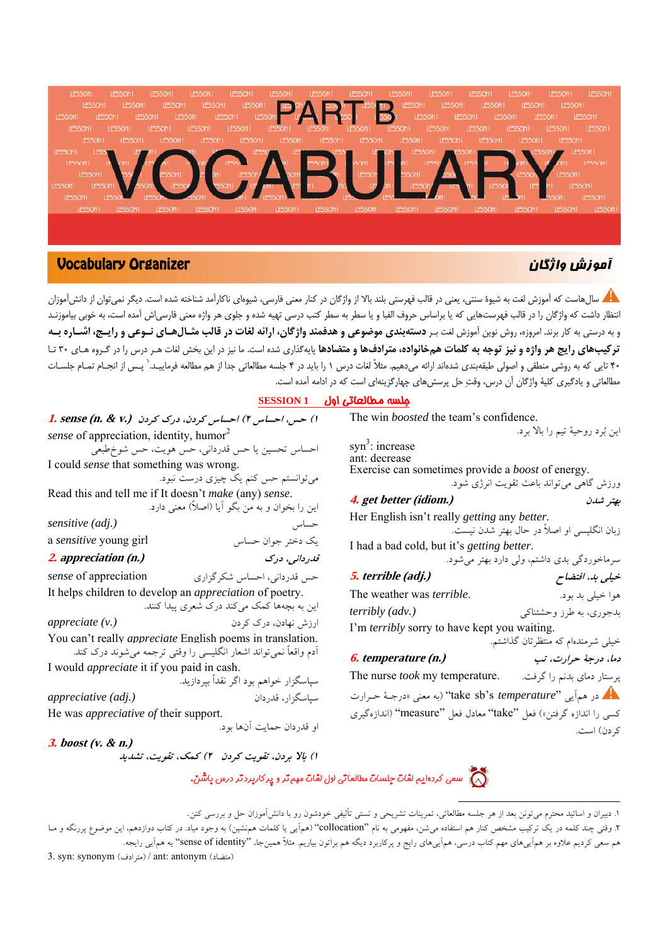

### آموزش واژگان Organizer Vocabulary

سالهاست كه آموزش لغت به شيوة سنتي، يعني در قالب فهرستي بلند بالا از واژگان در كنار معني فارسي، شيوهاي ناكارآمد شناخته شده است. ديگر نميتوان از دانشآموزان انتظار داشت كه واژگان را در قالب فهرستهايي كه يا براساس حروف الفبا و يا سطر به سطر كتب درسي تهيه شده و جلوي هر واژه معني فارسياش آمده است، به خوبي بياموزنـد و به درستی به کار برند. امروزه، روش نوین آموزش لغت بـر **دستهبندی موضوعی و هدفمند واژگان، ارائه لغات در قالب مثـالهـای نـوعی و رایـج، اشـاره بـه** ترکیبهای رایج هر واژه و نیز توجه به کلمات همخانواده، مترادفها و متضادها پایهگذاری شده است. ما نیز در این بخش لغات هـر درس را در گـروه هـای ۳۰ تـا ۴۰ تايي كه به روشي منطقي و اصولي طبقهبندي شدهاند ارائه مي<هيم. مثلاً لغات درس ١ را بايد در ۴ جلسه مطالعاتي جدا از هم مطالعه فرماييـد. ٰ پـس از انجـام تمـام جلسـات مطالعاتي و يادگيري كلية واژگان آن درس، وقت حل پرسشهاي چهارگزينهاي است كه در ادامه آمده است.

#### جلسه مطالعاتي اول **1 SESSION**

| ا) حس، احساس ۲) احساس کردن، درک کردن (.I. sense (n. & v          |                                                                  |
|------------------------------------------------------------------|------------------------------------------------------------------|
| sense of appreciation, identity, humor <sup>2</sup>              |                                                                  |
|                                                                  | احساس تحسین یا حس قدردانی، حس هویت، حس شوخطبعی                   |
| I could <i>sense</i> that something was wrong.                   |                                                                  |
|                                                                  | میتوانستم حس کنم یک چیزی درست نبود.                              |
| Read this and tell me if It doesn't <i>make</i> (any) sense.     |                                                                  |
|                                                                  | این را بخوان و به من بگو آیا (اصلاً) معنی دارد.                  |
| sensitive (adj.)                                                 | حساس                                                             |
| a sensitive young girl                                           | یک دختر جوان حساس                                                |
| 2. appreciation (n.)                                             | قدرداني، درک                                                     |
| sense of appreciation                                            | حس قدرداني، احساس شكرگزاري                                       |
| It helps children to develop an <i>appreciation</i> of poetry.   |                                                                  |
|                                                                  | این به بچهها کمک میکند درک شعری پیدا کنند.                       |
| appreciate (v.)                                                  | ارزش نهادن، درک کردن                                             |
| You can't really <i>appreciate</i> English poems in translation. |                                                                  |
|                                                                  | أدم واقعاً نمیٍتواند اشعار انگلیسی را وقتی ترجمه میشوند درک کند. |
| I would <i>appreciate</i> it if you paid in cash.                |                                                                  |
|                                                                  | سپاسگزار خواهم بود اگر نقداً بپردازید.                           |
| appreciative (adj.)                                              | سياسگزار، قدردان                                                 |
| He was <i>appreciative of</i> their support.                     |                                                                  |
|                                                                  | او قدردان حمايت آنها بود.                                        |
| $3.$ boost (v. & n.)                                             |                                                                  |
|                                                                  | ۱) بالا بردن، تقویت کردن ۲) کمک، تقویت، تشدید                    |

|                                                                  | اين بُرد روحيهٔ تيم را بالا برد.            |
|------------------------------------------------------------------|---------------------------------------------|
| syn <sup>3</sup> : increase                                      |                                             |
| ant: decrease                                                    |                                             |
| Exercise can sometimes provide a <i>boost</i> of energy.         |                                             |
|                                                                  | ورزش گاهي مي تواند باعث تقويت انرژي شود.    |
| 4. get better (idiom.)                                           | بهتر شدن                                    |
| Her English isn't really <i>getting</i> any <i>better</i> .      |                                             |
|                                                                  | زبان انگلیسی او اصلاً در حال بهتر شدن نیست. |
| I had a bad cold, but it's <i>getting better</i> .               |                                             |
|                                                                  | سرماخوردگی بدی داشتم، ولی دارد بهتر میشود.  |
| 5. terrible (adj.)                                               | خیلی بد، افتضاح                             |
| The weather was <i>terrible</i> .                                | هوا خيلي بد بود.                            |
| <i>terribly</i> (adv.)                                           | بدجوري، به طرز وحشتناكي                     |
| I'm <i>terribly</i> sorry to have kept you waiting.              |                                             |
|                                                                  | خیلی شرمندهام که منتظرتان گذاشتم.           |
| <b>6.</b> temperature (n.)                                       | دما، درجهٔ حرارت، تب                        |
| The nurse <i>took</i> my temperature.                            | پرستار دمای بدنم را گرفت.                   |
| در همآيي "take sb's <i>temperature" (ب</i> ه معنى «درجـهٔ حـرارت |                                             |
| كسي را اندازه گرفتن») فعل "take" معادل فعل "measure" (اندازهگيري |                                             |
|                                                                  | كردن) است.                                  |

The win *boosted* the team's confidence.

دى.<br>الاميس كردهايم لغات جلسات مطالعاتي اول لغات مهم تر و پ*ر كاربرد تر در*س پاشن.

<sup>.1</sup> دبيران <sup>و</sup> اساتيد محترم ميتونن بعد از هر جلسه مطالعاتي، تمرينات تشريحي <sup>و</sup> تستي تأليفي خودشون رو با دانشآموزان حل <sup>و</sup> بررسي كنن.

۲. وقتي چند كلمه در يک تركيب مشخص كنار هم استفاده مي شن، مفهومي به نام "collocation" (همآيي يا كلمات همنشين) به وجود مياد. در كتاب دوازدهم، اين موضوع پررنگه و مـا هم سعي كرديم علاوه بر همآييهاي مهم كتاب درسي، همآييهاي رايج و پركاربرد ديگه هم براتون بياريم. مثلاً همينجا، "identity of sense "يه همآيي رايجه.

<sup>3.</sup> syn: synonym (مترادف) / ant: antonym (مترادف)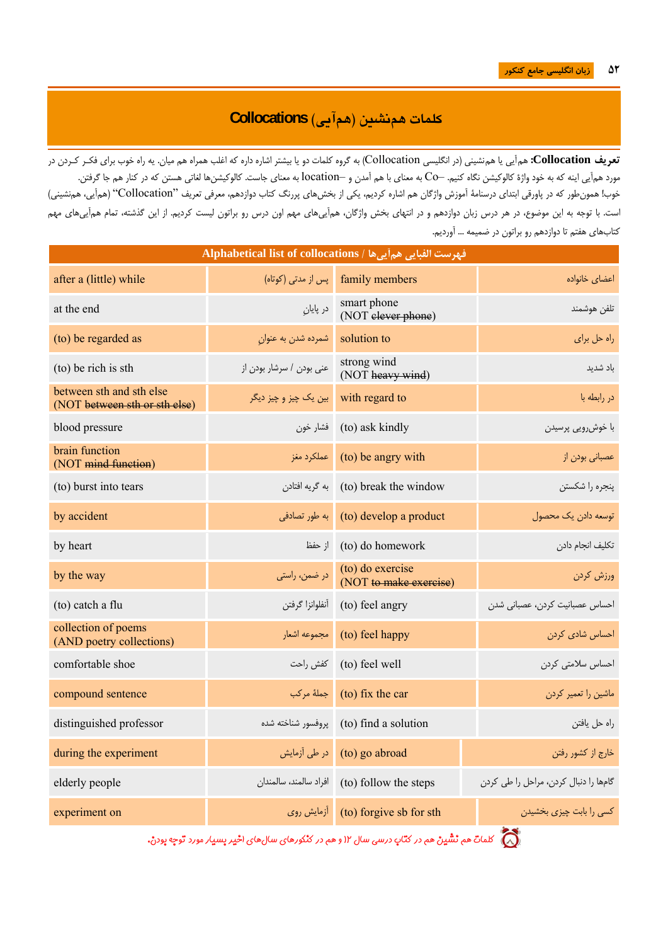L

# **كلمات همنشين (همآيي) Collocations**

**تعريف Collocation:** همآيي يا همنشيني (در انگليسي Collocation (به گروه كلمات دو يا بيشتر اشاره داره كه اغلب همراه هم ميان. يه راه خوب براي فكـر كـردن در مورد همآيي اينه كه به خود واژة كالوكيشن نگاه كنيم. –Co به معناي با هم آمدن و –location به معناي جاست. كالوكيشنها لغاتي هستن كه در كنار هم جا گرفتن. خوب! همونطور كه در پاورقي ابتداي درسنامة آموزش واژگان هم اشاره كرديم، يكي از بخشهاي پررنگ كتاب دوازدهم، معرفي تعريف "Collocation) "همآيي، همنشيني) است. با توجه به اين موضوع، در هر درس زبان دوازدهم و در انتهاي بخش واژگان، همآييهاي مهم اون درس رو براتون ليست كرديم. از اين گذشته، تمام همآييهاي مهم كتابهاي هفتم تا دوازدهم رو براتون در ضميمه ... آورديم.

| فهرست الفبايي هم أيي ها / Alphabetical list of collocations |                          |                                                |                                       |
|-------------------------------------------------------------|--------------------------|------------------------------------------------|---------------------------------------|
| after a (little) while                                      | پس از مدتی (کوتاه)       | family members                                 | اعضاى خانواده                         |
| at the end                                                  | در پایان                 | smart phone<br>(NOT elever phone)              | تلفن هوشمند                           |
| (to) be regarded as                                         | شمرده شدن به عنوان       | solution to                                    | راه حل برای                           |
| (to) be rich is sth                                         | عنى بودن / سرشار بودن از | strong wind<br>(NOT heavy wind)                | ىاد شدىد                              |
| between sth and sth else<br>(NOT between sth or sth else)   | بین یک چیز و چیز دیگر    | with regard to                                 | در رابطه با                           |
| blood pressure                                              | فشار خون                 | (to) ask kindly                                | با خوشررويي پرسيدن                    |
| brain function<br>(NOT mind function)                       | عملكرد مغز               | (to) be angry with                             | عصبانی بودن از                        |
| (to) burst into tears                                       | به گريه افتادن           | (to) break the window                          | پنجره را شکستن                        |
| by accident                                                 | به طور تصادفی            | (to) develop a product                         | توسعه دادن یک محصول                   |
| by heart                                                    | از حفظ                   | (to) do homework                               | تكليف انجام دادن                      |
| by the way                                                  | در ضمن، راستی            | (to) do exercise<br>(NOT to make exercise)     | ورزش كردن                             |
| (to) catch a flu                                            | آنفلوانزا گرفتن          | (to) feel angry                                | احساس عصبانيت كردن، عصباني شدن        |
| collection of poems<br>(AND poetry collections)             | مجموعه اشعار             | (to) feel happy                                | احساس شادی کردن                       |
| comfortable shoe                                            | كفش راحت                 | (to) feel well                                 | احساس سلامتی کردن                     |
| compound sentence                                           | جملهٔ مرکب               | (to) fix the car                               | ماشین را تعمیر کردن                   |
| distinguished professor                                     | پروفسور شناخته شده       | (to) find a solution                           | راه حل يافتن                          |
| during the experiment                                       | در طی آزمایش             | (to) go abroad                                 | خارج از كشور رفتن                     |
| elderly people                                              |                          | to) follow the steps)   افراد سالمند، سالمندان | گامها را دنبال كردن، مراحل را طي كردن |
| experiment on                                               |                          | (to) forgive sb for sth) أزمايش روى            | کسی را بابت چیزی بخشیدن               |

ند.<br>الله تع كلمات هم نشين هم د*ر* كتاب د*ر*سي سال ۱۲ و هم د*ر* كنكورهاي سال *هاي* اخير پسيا*ر* مورد توجه پودن.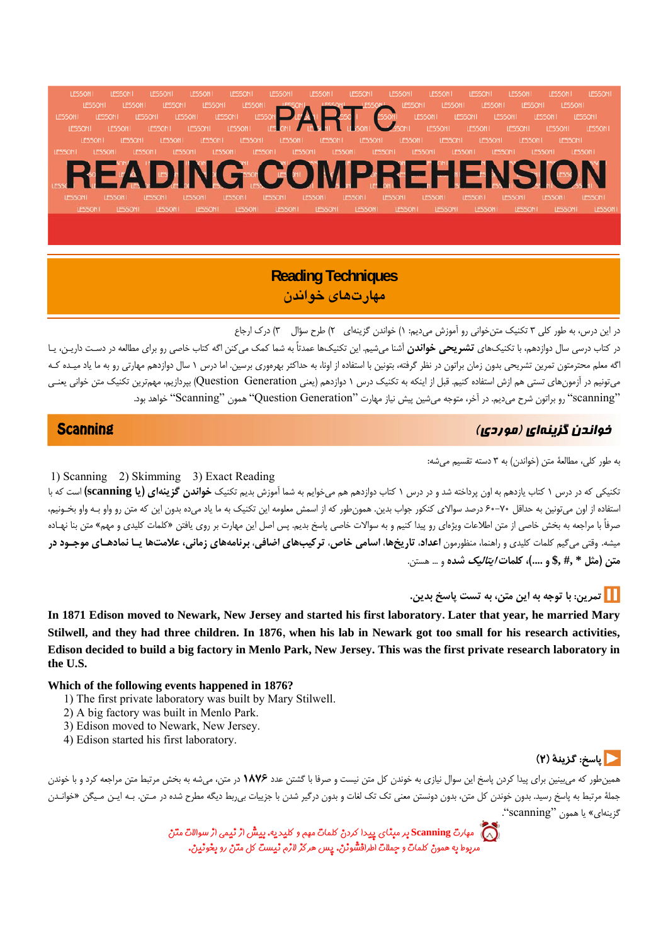**IFSSONI IFSSONI IFSSONI IFSSON IFSSON IFSSON IFSSONT IFSSONI IFSSONI IFSSON IFSSON IFSSONI IFSSONI IFSSON IFSSONI** LESSONI LESSONI **LESSONI** LESSONI LESSONI LESSON LESSON1 LESSONI LESSON1 LESSONI LESSON1 LESSONI LESSON1 LESSON1 **LESSON** LESSONI LESSONI LESSONI SONI LESSONI LESSONI LESSONI LESSONI LESSONI LESSONI LESSONI LESSONI LESSONI LESSON LESSONI LESSONI

## **Reading Techniques مهارتهاي خواندن**

در اين درس، به طور كلي 3 تكنيك متنخواني رو آموزش ميديم: 1) خواندن گزينهاي 2) طرح سؤال 3) درك ارجاع در كتاب درسي سال دوازدهم، با تكنيكهاي **تشريحي خواندن** آشنا ميشيم. اين تكنيكها عمدتاً به شما كمك ميكنن اگه كتاب خاصي رو براي مطالعه در دسـت داريـن، يـا

اگه معلم محترمتون تمرين تشريحي بدون زمان براتون در نظر گرفته، بتونين با استفاده از اونا، به حداكثر بهرهوري برسين. اما درس ١ سال دوازدهم مهارتي رو به ما ياد ميـده كـه ميتونيم در آزمونهاي تستي هم ازش استفاده كنيم. قبل از اينكه به تكنيك درس 1 دوازدهم (يعني Generation Question (بپردازيم، مهمترين تكنيك متن خواني يعنـي "scanning "رو براتون شرح ميديم. در آخر، متوجه ميشين پيش نياز مهارت "Generation Question "همون "Scanning "خواهد بود.

## خواندن گزينهاي (موردي) Scanning

 $\overline{a}$ 

به طور كلي، مطالعة متن (خواندن) به 3 دسته تقسيم ميشه:

1) Scanning 2) Skimming 3) Exact Reading

تكنيكي كه در درس 1 كتاب يازدهم به اون پرداخته شد و در درس 1 كتاب دوازدهم هم ميخوايم به شما آموزش بديم تكنيك **خواندن گزينهاي (يا scanning (**است كه با استفاده از اون ميتونين به حداقل 60-70 درصد سوالاي كنكور جواب بدين. همونطور كه از اسمش معلومه اين تكنيك به ما ياد ميده بدون اين كه متن رو واو بـه واو بخـونيم، صرفاً با مراجعه به بخش خاصي از متن اطلاعات ويژهاي رو پيدا كنيم و به سوالات خاصي پاسخ بديم. پس اصل اين مهارت به روي يافتن «كلمات كليدي و مهم» متن بنا نهـاده میشه. وقتی میگیم کلمات کلیدی و راهنما، منظورمون **اعداد، تاریخها، اسامی خاص، ترکیبهای اضافی، برنامههای زمانی، علامتها یـا نمادهـای موجـود در متن (مثل \* #, \$, و ....)، كلمات ايتاليك شده** و ... هستن.

## **تمرين: با توجه به اين متن، به تست پاسخ بدين.**

**In 1871 Edison moved to Newark, New Jersey and started his first laboratory. Later that year, he married Mary Stilwell, and they had three children. In 1876, when his lab in Newark got too small for his research activities, Edison decided to build a big factory in Menlo Park, New Jersey. This was the first private research laboratory in the U.S.** 

#### **Which of the following events happened in 1876?**

- 1) The first private laboratory was built by Mary Stilwell.
- 2) A big factory was built in Menlo Park.
- 3) Edison moved to Newark, New Jersey.
- 4) Edison started his first laboratory.

## **پاسخ: گزينة (2)**

همينطور كه ميبينين براي پيدا كردن پاسخ اين سوال نيازي به خوندن كل متن نيست و صرفا با گشتن عدد **1876** در متن، ميشه به بخش مرتبط متن مراجعه كرد و با خوندن جملة مرتبط به پاسخ رسيد. بدون خوندن كل متن، بدون دونستن معني تك تك لغات و بدون درگير شدن با جزييات بيربط ديگه مطرح شده در مـتن. بـه ايـن مـيگن «خوانـدن گزينهاي» يا همون "scanning".

> مهارت **Scanning** بر مبناي پيدا كردن كلمات مهم <sup>و</sup> كليديه. بيشاز نيمي از سوالات متن مربوط به همون كلمات و جملات اطرافشونن. پسهرگز لازم نيست كل متن رو بخونين.